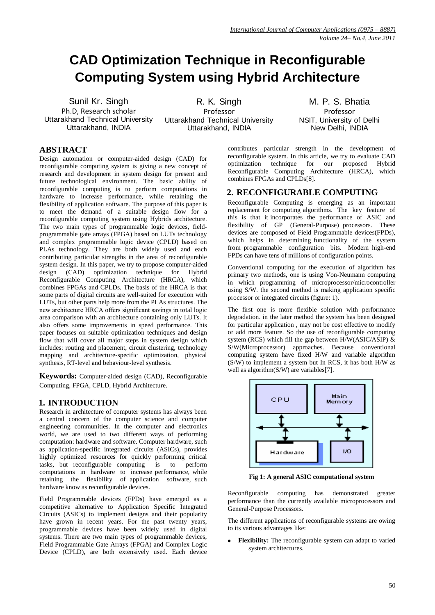# **CAD Optimization Technique in Reconfigurable Computing System using Hybrid Architecture**

Sunil Kr. Singh Ph.D, Research scholar Uttarakhand Technical University Uttarakhand, INDIA

R. K. Singh Professor Uttarakhand Technical University Uttarakhand, INDIA

M. P. S. Bhatia Professor NSIT, University of Delhi New Delhi, INDIA

### **ABSTRACT**

Design automation or computer-aided design (CAD) for reconfigurable computing system is giving a new concept of research and development in system design for present and future technological environment. The basic ability of reconfigurable computing is to perform computations in hardware to increase performance, while retaining the flexibility of application software. The purpose of this paper is to meet the demand of a suitable design flow for a reconfigurable computing system using Hybrids architecture. The two main types of programmable logic devices, fieldprogrammable gate arrays (FPGA) based on LUTs technology and complex programmable logic device (CPLD) based on PLAs technology. They are both widely used and each contributing particular strengths in the area of reconfigurable system design. In this paper, we try to propose computer-aided design (CAD) optimization technique for Hybrid Reconfigurable Computing Architecture (HRCA), which combines FPGAs and CPLDs. The basis of the HRCA is that some parts of digital circuits are well-suited for execution with LUTs, but other parts help more from the PLAs structures. The new architecture HRCA offers significant savings in total logic area comparison with an architecture containing only LUTs. It also offers some improvements in speed performance. This paper focuses on suitable optimization techniques and design flow that will cover all major steps in system design which includes: routing and placement, circuit clustering, technology mapping and architecture-specific optimization, physical synthesis, RT-level and behaviour-level synthesis.

**Keywords:** Computer-aided design (CAD), Reconfigurable Computing, FPGA, CPLD, Hybrid Architecture.

## **1. INTRODUCTION**

Research in architecture of computer systems has always been a central concern of the computer science and computer engineering communities. In the computer and electronics world, we are used to two different ways of performing computation: hardware and software. Computer hardware, such as application-specific integrated circuits (ASICs), provides highly optimized resources for quickly performing critical tasks, but reconfigurable computing is to perform tasks, but reconfigurable computing is to computations in hardware to increase performance, while retaining the flexibility of application software, such hardware know as reconfigurable devices.

Field Programmable devices (FPDs) have emerged as a competitive alternative to Application Specific Integrated Circuits (ASICs) to implement designs and their popularity have grown in recent years. For the past twenty years, programmable devices have been widely used in digital systems. There are two main types of programmable devices, Field Programmable Gate Arrays (FPGA) and Complex Logic Device (CPLD), are both extensively used. Each device contributes particular strength in the development of reconfigurable system. In this article, we try to evaluate CAD optimization technique for our proposed Hybrid Reconfigurable Computing Architecture (HRCA), which combines FPGAs and CPLDs[8].

#### **2. RECONFIGURABLE COMPUTING**

Reconfigurable Computing is emerging as an important replacement for computing algorithms. The key feature of this is that it incorporates the performance of ASIC and flexibility of GP (General-Purpose) processors. These devices are composed of Field Programmable devices(FPDs), which helps in determining functionality of the system from programmable configuration bits. Modern high-end FPDs can have tens of millions of configuration points.

Conventional computing for the execution of algorithm has primary two methods, one is using Von-Neumann computing in which programming of microprocessor/microcontroller using S/W. the second method is making application specific processor or integrated circuits (figure: 1).

The first one is more flexible solution with performance degradation. in the later method the system has been designed for particular application , may not be cost effective to modify or add more feature. So the use of reconfigurable computing system (RCS) which fill the gap between H/W(ASIC/ASIP) & S/W(Microprocessor) approaches. Because conventional computing system have fixed H/W and variable algorithm (S/W) to implement a system but In RCS, it has both H/W as well as algorithm(S/W) are variables[7].



**Fig 1: A general ASIC computational system**

Reconfigurable computing has demonstrated greater performance than the currently available microprocessors and General-Purpose Processors.

The different applications of reconfigurable systems are owing to its various advantages like:

**Flexibility:** The reconfigurable system can adapt to varied system architectures.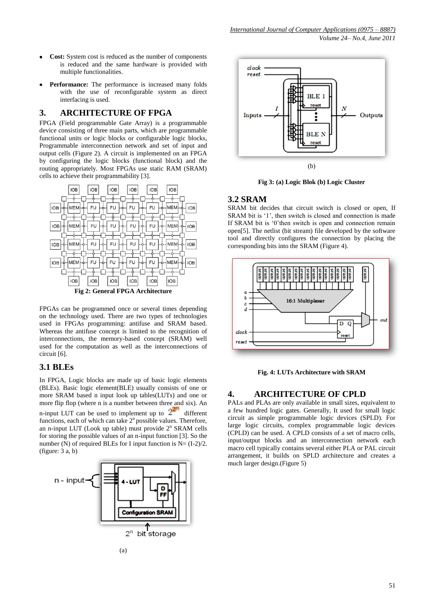- **Cost:** System cost is reduced as the number of components is reduced and the same hardware is provided with multiple functionalities.
- **Performance:** The performance is increased many folds with the use of reconfigurable system as direct interfacing is used.

#### **3. ARCHITECTURE OF FPGA**

FPGA (Field programmable Gate Array) is a programmable device consisting of three main parts, which are programmable functional units or logic blocks or configurable logic blocks, Programmable interconnection network and set of input and output cells (Figure 2). A circuit is implemented on an FPGA by configuring the logic blocks (functional block) and the routing appropriately. Most FPGAs use static RAM (SRAM) cells to achieve their programmability [3].



FPGAs can be programmed once or several times depending on the technology used. There are two types of technologies used in FPGAs programming: antifuse and SRAM based. Whereas the antifuse concept is limited to the recognition of interconnections, the memory-based concept (SRAM) well used for the computation as well as the interconnections of circuit [6].

#### **3.1 BLEs**

In FPGA, Logic blocks are made up of basic logic elements (BLEs). Basic logic element(BLE) usually consists of one or more SRAM based n input look up tables(LUTs) and one or more flip flop (where n is a number between three and six). An n-input LUT can be used to implement up to  $2^{2^n}$  different functions, each of which can take  $2<sup>n</sup>$  possible values. Therefore, an n-input LUT (Look up table) must provide  $2<sup>n</sup>$  SRAM cells for storing the possible values of an n-input function [3]. So the number (N) of required BLEs for I input function is  $N = (I-2)/2$ . (figure: 3 a, b)





**Fig 3: (a) Logic Blok (b) Logic Cluster**

#### **3.2 SRAM**

SRAM bit decides that circuit switch is closed or open, If SRAM bit is '1', then switch is closed and connection is made If SRAM bit is '0'then switch is open and connection remain open[5]. The netlist (bit stream) file developed by the software tool and directly configures the connection by placing the corresponding bits into the SRAM (Figure 4).



**Fig. 4: LUTs Architecture with SRAM**

### **4. ARCHITECTURE OF CPLD**

PALs and PLAs are only available in small sizes, equivalent to a few hundred logic gates. Generally, It used for small logic circuit as simple programmable logic devices (SPLD). For large logic circuits, complex programmable logic devices (CPLD) can be used. A CPLD consists of a set of macro cells, input/output blocks and an interconnection network each macro cell typically contains several either PLA or PAL circuit arrangement, it builds on SPLD architecture and creates a much larger design.(Figure 5)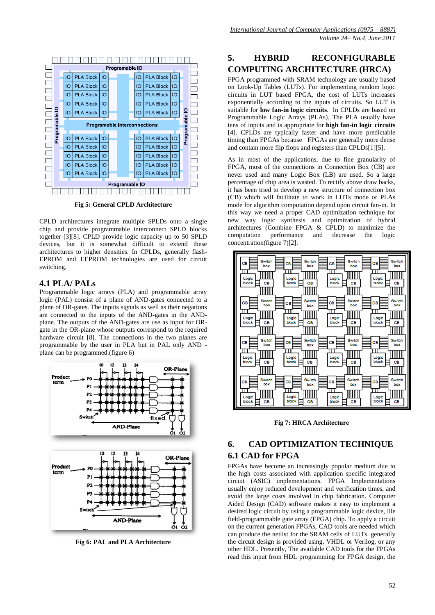

**Fig 5: General CPLD Architecture**

CPLD architectures integrate multiple SPLDs onto a single chip and provide programmable interconnect SPLD blocks together [3][8]. CPLD provide logic capacity up to 50 SPLD devices, but it is somewhat difficult to extend these architectures to higher densities. In CPLDs, generally flash-EPROM and EEPROM technologies are used for circuit switching.

#### **4.1 PLA/ PALs**

Programmable logic arrays (PLA) and programmable array logic (PAL) consist of a plane of AND-gates connected to a plane of OR-gates. The inputs signals as well as their negations are connected to the inputs of the AND-gates in the ANDplane. The outputs of the AND-gates are use as input for ORgate in the OR-plane whose outputs correspond to the required hardware circuit [8]. The connections in the two planes are programmable by the user in PLA but in PAL only AND plane can be programmed.(figure 6)



**Fig 6: PAL and PLA Architecture**

## **5. HYBRID RECONFIGURABLE COMPUTING ARCHITECTURE (HRCA)**

FPGA programmed with SRAM technology are usually based on Look-Up Tables (LUTs). For implementing random logic circuits in LUT based FPGA, the cost of LUTs increases exponentially according to the inputs of circuits. So LUT is suitable for **low fan-in logic circuits**. In CPLDs are based on Programmable Logic Arrays (PLAs). The PLA usually have tens of inputs and is appropriate for **high fan-in logic circuits** [4]. CPLDs are typically faster and have more predictable timing than FPGAs because FPGAs are generally more dense and contain more flip flops and registers than CPLDs[1][5].

As in most of the applications, due to fine granularity of FPGA, most of the connections in Connection Box (CB) are never used and many Logic Box (LB) are used. So a large percentage of chip area is wasted. To rectify above draw backs, it has been tried to develop a new structure of connection box (CB) which will facilitate to work in LUTs mode or PLAs mode for algorithm computation depend upon circuit fan-in. In this way we need a proper CAD optimization technique for new way logic synthesis and optimization of hybrid architectures (Combine FPGA & CPLD) to maximize the computation performance and decrease the logic concentration(figure 7)[2].



**Fig 7: HRCA Architecture**

## **6. CAD OPTIMIZATION TECHNIQUE 6.1 CAD for FPGA**

FPGAs have become an increasingly popular medium due to the high costs associated with application specific integrated circuit (ASIC) implementations. FPGA Implementations usually enjoy reduced development and verification times, and avoid the large costs involved in chip fabrication. Computer Aided Design (CAD) software makes it easy to implement a desired logic circuit by using a programmable logic device, lile field-programmable gate array (FPGA) chip. To apply a circuit on the current generation FPGAs, CAD tools are needed which can produce the netlist for the SRAM cells of LUTs. generally the circuit design is provided using, VHDL or Verilog, or any other HDL. Presently, The available CAD tools for the FPGAs read this input from HDL programming for FPGA design, the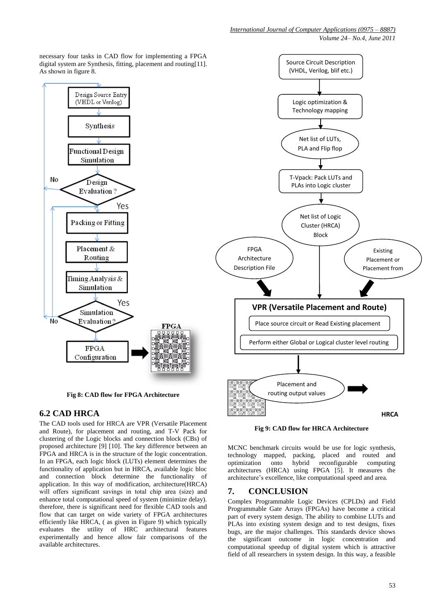necessary four tasks in CAD flow for implementing a FPGA digital system are Synthesis, fitting, placement and routing[11]. As shown in figure 8.



**Fig 8: CAD flow for FPGA Architecture**

## **6.2 CAD HRCA**

The CAD tools used for HRCA are VPR (Versatile Placement and Route), for placement and routing, and T-V Pack for clustering of the Logic blocks and connection block (CBs) of proposed architecture [9] [10]. The key difference between an FPGA and HRCA is in the structure of the logic concentration. In an FPGA, each logic block (LUTs) element determines the functionality of application but in HRCA, available logic bloc and connection block determine the functionality of application. In this way of modification, architecture(HRCA) will offers significant savings in total chip area (size) and enhance total computational speed of system (minimize delay). therefore, there is significant need for flexible CAD tools and flow that can target on wide variety of FPGA architectures efficiently like HRCA, ( as given in Figure 9) which typically evaluates the utility of HRC architectural features experimentally and hence allow fair comparisons of the available architectures.



**Fig 9: CAD flow for HRCA Architecture**

MCNC benchmark circuits would be use for logic synthesis, technology mapped, packing, placed and routed and optimization onto hybrid reconfigurable computing architectures (HRCA) using FPGA [5]. It measures the architecture's excellence, like computational speed and area.

## **7. CONCLUSION**

Complex Programmable Logic Devices (CPLDs) and Field Programmable Gate Arrays (FPGAs) have become a critical part of every system design. The ability to combine LUTs and PLAs into existing system design and to test designs, fixes bugs, are the major challenges. This standards device shows the significant outcome in logic concentration and computational speedup of digital system which is attractive field of all researchers in system design. In this way, a feasible